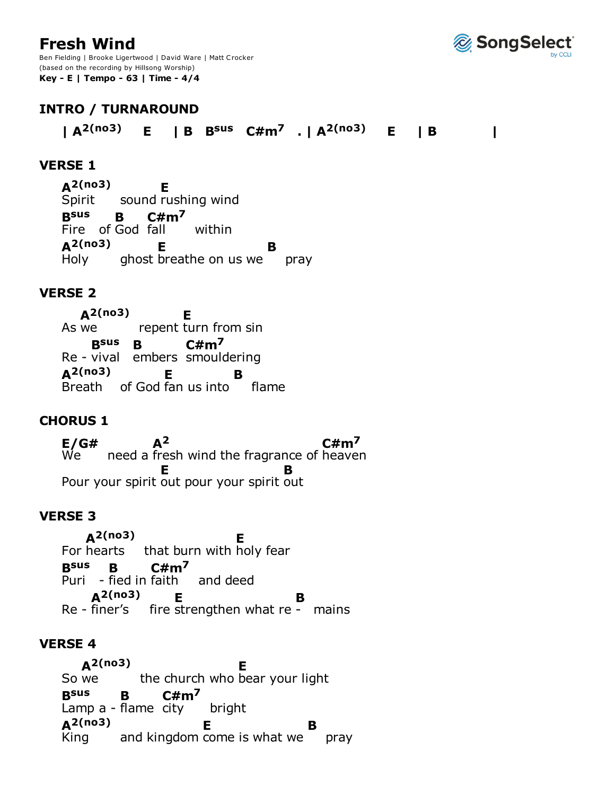# **Fresh Wind**

Ben Fielding | Brooke Ligertwood | David Ware | Matt Crocker (based on the recording by Hillsong Worship) **Key - E | Tempo - 63 | Time - 4/4**



# **INTRO / TURNAROUND**

**| A2(no3) E | B Bsus C#m7 . | A2(no3) E | B |**

### **VERSE 1**

sound rushing wind Fire of God fall within ghost breathe on us we pray Spirit **A2(no3) E Bsus B C#m<sup>7</sup>** within Holy **A2(no3) E B**

### **VERSE 2**

As we crepent turn from sin Re - vival embers smouldering Breath of God fan us into flame As we **A2(no3) E Bsus B C#m7 A2(no3) E B**

### **CHORUS 1**

need a fresh wind the fragrance of heaven Pour your spirit out pour your spirit out We **E/G# A2 C#m7 E B**

### **VERSE 3**

For hearts that burn with holy fear Puri - fied in faith and deed Re - finer's fire strengthen what re - mains **A2(no3) E Bsus B C#m7** Re - finer's **A2(no3) E B**

#### **VERSE 4**

So we the church who bear your light Lamp a - flame city bright and kingdom come is what we pray So we **A2(no3) E Bsus B C#m7** King **A2(no3) E B**